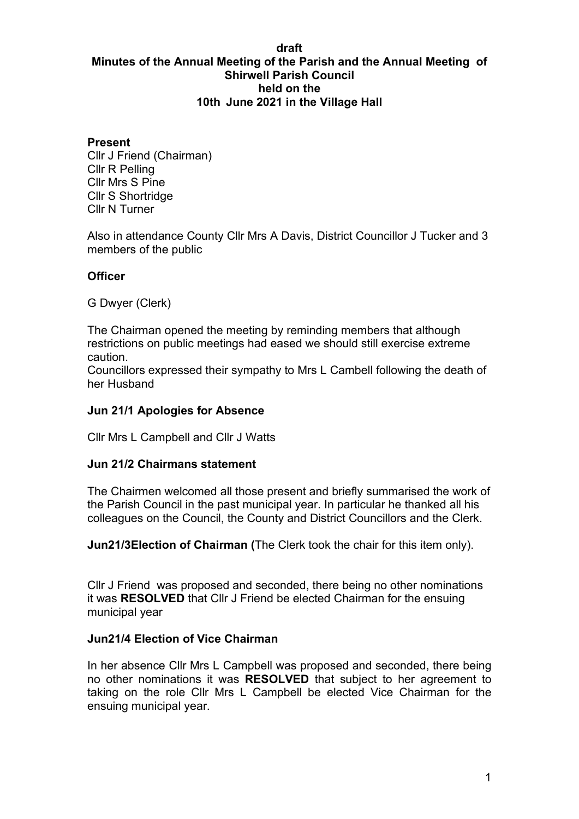#### **draft Minutes of the Annual Meeting of the Parish and the Annual Meeting of Shirwell Parish Council held on the 10th June 2021 in the Village Hall**

#### **Present**

Cllr J Friend (Chairman) Cllr R Pelling Cllr Mrs S Pine Cllr S Shortridge Cllr N Turner

Also in attendance County Cllr Mrs A Davis, District Councillor J Tucker and 3 members of the public

#### **Officer**

G Dwyer (Clerk)

The Chairman opened the meeting by reminding members that although restrictions on public meetings had eased we should still exercise extreme caution.

Councillors expressed their sympathy to Mrs L Cambell following the death of her Husband

#### **Jun 21/1 Apologies for Absence**

Cllr Mrs L Campbell and Cllr J Watts

#### **Jun 21/2 Chairmans statement**

The Chairmen welcomed all those present and briefly summarised the work of the Parish Council in the past municipal year. In particular he thanked all his colleagues on the Council, the County and District Councillors and the Clerk.

**Jun21/3Election of Chairman (**The Clerk took the chair for this item only).

Cllr J Friend was proposed and seconded, there being no other nominations it was **RESOLVED** that Cllr J Friend be elected Chairman for the ensuing municipal year

#### **Jun21/4 Election of Vice Chairman**

In her absence Cllr Mrs L Campbell was proposed and seconded, there being no other nominations it was **RESOLVED** that subject to her agreement to taking on the role Cllr Mrs L Campbell be elected Vice Chairman for the ensuing municipal year.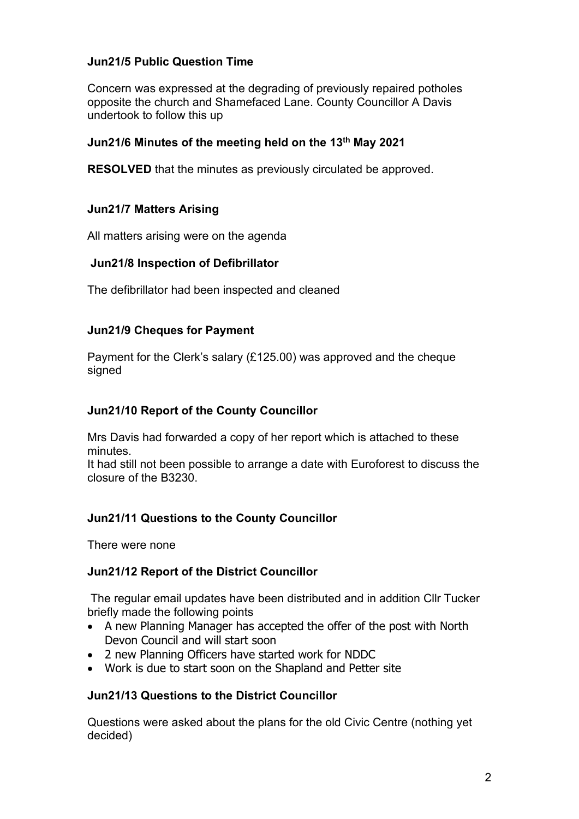# **Jun21/5 Public Question Time**

Concern was expressed at the degrading of previously repaired potholes opposite the church and Shamefaced Lane. County Councillor A Davis undertook to follow this up

### **Jun21/6 Minutes of the meeting held on the 13th May 2021**

**RESOLVED** that the minutes as previously circulated be approved.

### **Jun21/7 Matters Arising**

All matters arising were on the agenda

#### **Jun21/8 Inspection of Defibrillator**

The defibrillator had been inspected and cleaned

#### **Jun21/9 Cheques for Payment**

Payment for the Clerk's salary (£125.00) was approved and the cheque signed

#### **Jun21/10 Report of the County Councillor**

Mrs Davis had forwarded a copy of her report which is attached to these minutes.

It had still not been possible to arrange a date with Euroforest to discuss the closure of the B3230.

## **Jun21/11 Questions to the County Councillor**

There were none

#### **Jun21/12 Report of the District Councillor**

The regular email updates have been distributed and in addition Cllr Tucker briefly made the following points

- A new Planning Manager has accepted the offer of the post with North Devon Council and will start soon
- 2 new Planning Officers have started work for NDDC
- Work is due to start soon on the Shapland and Petter site

## **Jun21/13 Questions to the District Councillor**

Questions were asked about the plans for the old Civic Centre (nothing yet decided)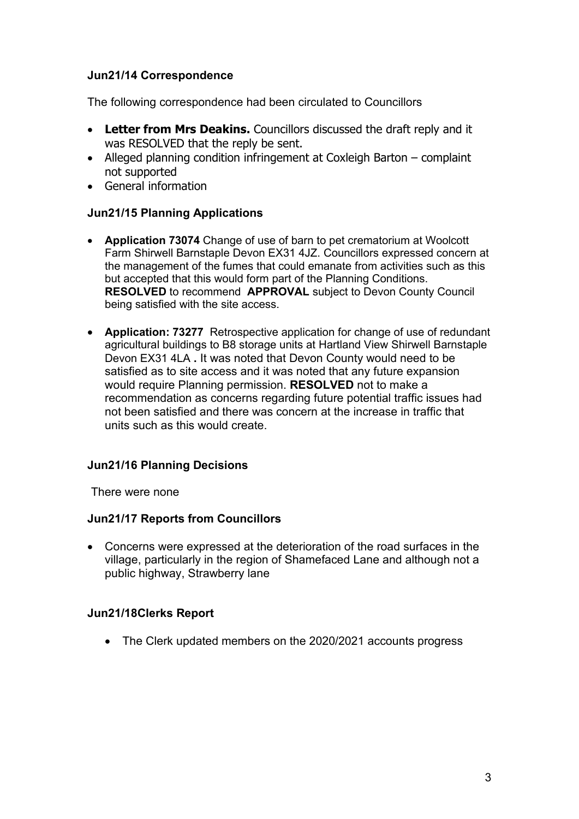# **Jun21/14 Correspondence**

The following correspondence had been circulated to Councillors

- **Letter from Mrs Deakins.** Councillors discussed the draft reply and it was RESOLVED that the reply be sent.
- Alleged planning condition infringement at Coxleigh Barton complaint not supported
- General information

## **Jun21/15 Planning Applications**

- **Application 73074** Change of use of barn to pet crematorium at Woolcott Farm Shirwell Barnstaple Devon EX31 4JZ. Councillors expressed concern at the management of the fumes that could emanate from activities such as this but accepted that this would form part of the Planning Conditions. **RESOLVED** to recommend **APPROVAL** subject to Devon County Council being satisfied with the site access.
- **Application: 73277** Retrospective application for change of use of redundant agricultural buildings to B8 storage units at Hartland View Shirwell Barnstaple Devon EX31 4LA **.** It was noted that Devon County would need to be satisfied as to site access and it was noted that any future expansion would require Planning permission. **RESOLVED** not to make a recommendation as concerns regarding future potential traffic issues had not been satisfied and there was concern at the increase in traffic that units such as this would create.

## **Jun21/16 Planning Decisions**

There were none

#### **Jun21/17 Reports from Councillors**

• Concerns were expressed at the deterioration of the road surfaces in the village, particularly in the region of Shamefaced Lane and although not a public highway, Strawberry lane

## **Jun21/18Clerks Report**

• The Clerk updated members on the 2020/2021 accounts progress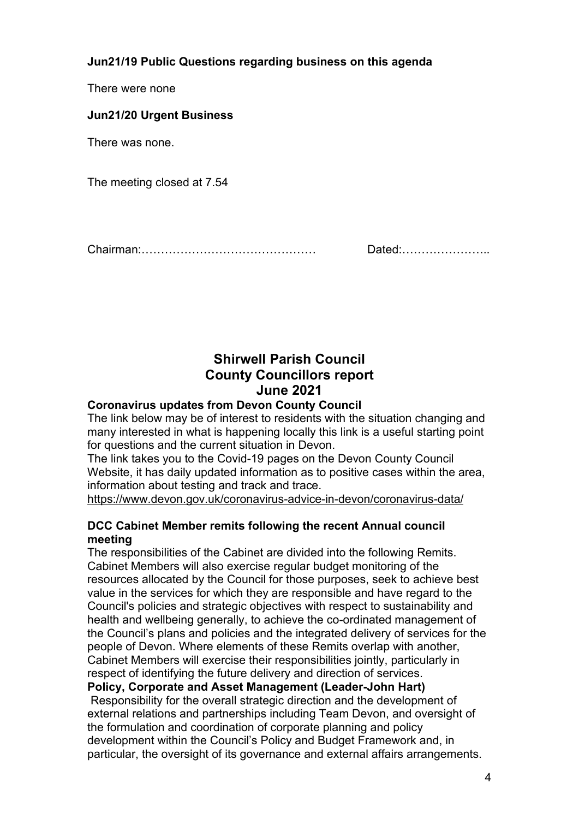**Jun21/19 Public Questions regarding business on this agenda**

There were none

**Jun21/20 Urgent Business**

There was none.

The meeting closed at 7.54

Chairman:……………………………………… Dated:…………………..

# **Shirwell Parish Council County Councillors report June 2021**

# **Coronavirus updates from Devon County Council**

The link below may be of interest to residents with the situation changing and many interested in what is happening locally this link is a useful starting point for questions and the current situation in Devon.

The link takes you to the Covid-19 pages on the Devon County Council Website, it has daily updated information as to positive cases within the area, information about testing and track and trace.

<https://www.devon.gov.uk/coronavirus-advice-in-devon/coronavirus-data/>

## **DCC Cabinet Member remits following the recent Annual council meeting**

The responsibilities of the Cabinet are divided into the following Remits. Cabinet Members will also exercise regular budget monitoring of the resources allocated by the Council for those purposes, seek to achieve best value in the services for which they are responsible and have regard to the Council's policies and strategic objectives with respect to sustainability and health and wellbeing generally, to achieve the co-ordinated management of the Council's plans and policies and the integrated delivery of services for the people of Devon. Where elements of these Remits overlap with another, Cabinet Members will exercise their responsibilities jointly, particularly in respect of identifying the future delivery and direction of services.

**Policy, Corporate and Asset Management (Leader-John Hart)** Responsibility for the overall strategic direction and the development of external relations and partnerships including Team Devon, and oversight of the formulation and coordination of corporate planning and policy development within the Council's Policy and Budget Framework and, in

particular, the oversight of its governance and external affairs arrangements.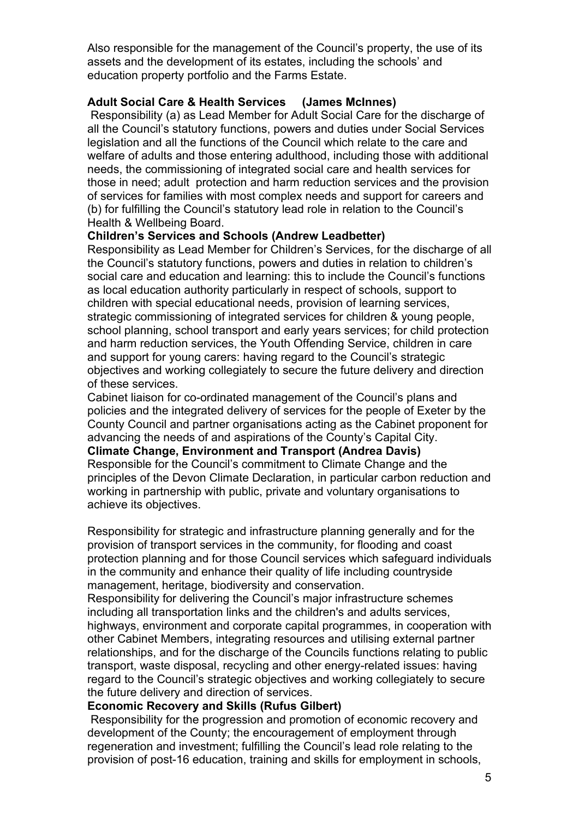Also responsible for the management of the Council's property, the use of its assets and the development of its estates, including the schools' and education property portfolio and the Farms Estate.

#### **Adult Social Care & Health Services (James McInnes)**

Responsibility (a) as Lead Member for Adult Social Care for the discharge of all the Council's statutory functions, powers and duties under Social Services legislation and all the functions of the Council which relate to the care and welfare of adults and those entering adulthood, including those with additional needs, the commissioning of integrated social care and health services for those in need; adult protection and harm reduction services and the provision of services for families with most complex needs and support for careers and (b) for fulfilling the Council's statutory lead role in relation to the Council's Health & Wellbeing Board.

#### **Children's Services and Schools (Andrew Leadbetter)**

Responsibility as Lead Member for Children's Services, for the discharge of all the Council's statutory functions, powers and duties in relation to children's social care and education and learning: this to include the Council's functions as local education authority particularly in respect of schools, support to children with special educational needs, provision of learning services, strategic commissioning of integrated services for children & young people, school planning, school transport and early years services; for child protection and harm reduction services, the Youth Offending Service, children in care and support for young carers: having regard to the Council's strategic objectives and working collegiately to secure the future delivery and direction of these services.

Cabinet liaison for co-ordinated management of the Council's plans and policies and the integrated delivery of services for the people of Exeter by the County Council and partner organisations acting as the Cabinet proponent for advancing the needs of and aspirations of the County's Capital City.

#### **Climate Change, Environment and Transport (Andrea Davis)**

Responsible for the Council's commitment to Climate Change and the principles of the Devon Climate Declaration, in particular carbon reduction and working in partnership with public, private and voluntary organisations to achieve its objectives.

Responsibility for strategic and infrastructure planning generally and for the provision of transport services in the community, for flooding and coast protection planning and for those Council services which safeguard individuals in the community and enhance their quality of life including countryside management, heritage, biodiversity and conservation.

Responsibility for delivering the Council's major infrastructure schemes including all transportation links and the children's and adults services, highways, environment and corporate capital programmes, in cooperation with other Cabinet Members, integrating resources and utilising external partner relationships, and for the discharge of the Councils functions relating to public transport, waste disposal, recycling and other energy-related issues: having regard to the Council's strategic objectives and working collegiately to secure the future delivery and direction of services.

#### **Economic Recovery and Skills (Rufus Gilbert)**

Responsibility for the progression and promotion of economic recovery and development of the County; the encouragement of employment through regeneration and investment; fulfilling the Council's lead role relating to the provision of post-16 education, training and skills for employment in schools,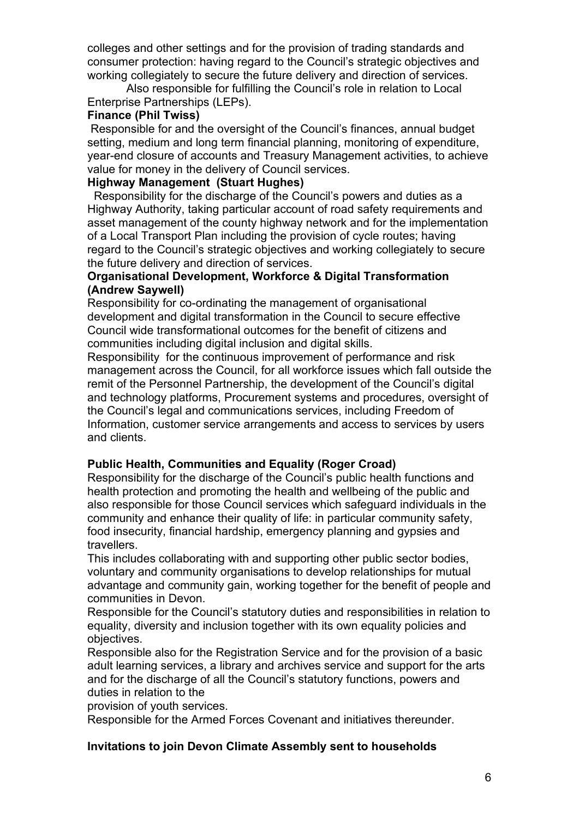colleges and other settings and for the provision of trading standards and consumer protection: having regard to the Council's strategic objectives and working collegiately to secure the future delivery and direction of services.

 Also responsible for fulfilling the Council's role in relation to Local Enterprise Partnerships (LEPs).

### **Finance (Phil Twiss)**

Responsible for and the oversight of the Council's finances, annual budget setting, medium and long term financial planning, monitoring of expenditure, year-end closure of accounts and Treasury Management activities, to achieve value for money in the delivery of Council services.

### **Highway Management (Stuart Hughes)**

Responsibility for the discharge of the Council's powers and duties as a Highway Authority, taking particular account of road safety requirements and asset management of the county highway network and for the implementation of a Local Transport Plan including the provision of cycle routes; having regard to the Council's strategic objectives and working collegiately to secure the future delivery and direction of services.

### **Organisational Development, Workforce & Digital Transformation (Andrew Saywell)**

Responsibility for co-ordinating the management of organisational development and digital transformation in the Council to secure effective Council wide transformational outcomes for the benefit of citizens and communities including digital inclusion and digital skills.

Responsibility for the continuous improvement of performance and risk management across the Council, for all workforce issues which fall outside the remit of the Personnel Partnership, the development of the Council's digital and technology platforms, Procurement systems and procedures, oversight of the Council's legal and communications services, including Freedom of Information, customer service arrangements and access to services by users and clients.

## **Public Health, Communities and Equality (Roger Croad)**

Responsibility for the discharge of the Council's public health functions and health protection and promoting the health and wellbeing of the public and also responsible for those Council services which safeguard individuals in the community and enhance their quality of life: in particular community safety, food insecurity, financial hardship, emergency planning and gypsies and travellers.

This includes collaborating with and supporting other public sector bodies, voluntary and community organisations to develop relationships for mutual advantage and community gain, working together for the benefit of people and communities in Devon.

Responsible for the Council's statutory duties and responsibilities in relation to equality, diversity and inclusion together with its own equality policies and objectives.

Responsible also for the Registration Service and for the provision of a basic adult learning services, a library and archives service and support for the arts and for the discharge of all the Council's statutory functions, powers and duties in relation to the

provision of youth services.

Responsible for the Armed Forces Covenant and initiatives thereunder.

## **Invitations to join Devon Climate Assembly sent to households**